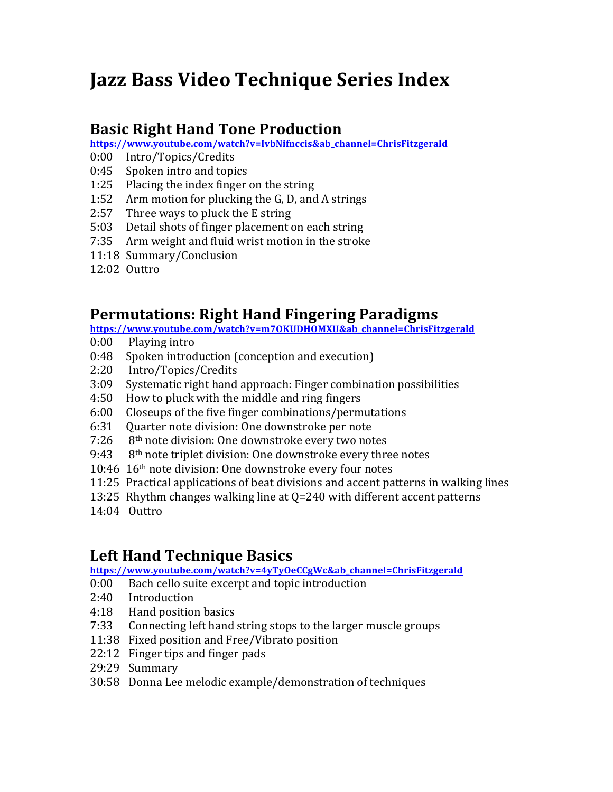# **Jazz Bass Video Technique Series Index**

#### **Basic Right Hand Tone Production**

**https://www.youtube.com/watch?v=IvbNifnccis&ab\_channel=ChrisFitzgerald**

- 0:00 Intro/Topics/Credits
- 0:45 Spoken intro and topics
- 1:25 Placing the index finger on the string
- 1:52 Arm motion for plucking the G, D, and A strings
- 2:57 Three ways to pluck the E string
- 5:03 Detail shots of finger placement on each string
- 7:35 Arm weight and fluid wrist motion in the stroke
- 11:18 Summary/Conclusion
- 12:02 Outtro

### **Permutations: Right Hand Fingering Paradigms**

**https://www.youtube.com/watch?v=m7OKUDHOMXU&ab\_channel=ChrisFitzgerald**

- $0:00$  Playing intro
- 0:48 Spoken introduction (conception and execution)
- 2:20 Intro/Topics/Credits
- 3:09 Systematic right hand approach: Finger combination possibilities
- 4:50 How to pluck with the middle and ring fingers
- 6:00 Closeups of the five finger combinations/permutations
- 6:31 Ouarter note division: One downstroke per note
- $7:26$  8<sup>th</sup> note division: One downstroke every two notes
- 9:43  $8<sup>th</sup>$  note triplet division: One downstroke every three notes
- 10:46 16<sup>th</sup> note division: One downstroke every four notes
- 11:25 Practical applications of beat divisions and accent patterns in walking lines
- 13:25 Rhythm changes walking line at  $Q=240$  with different accent patterns
- 14:04 Outtro

# **Left Hand Technique Basics**

**https://www.youtube.com/watch?v=4yTyOeCCgWc&ab\_channel=ChrisFitzgerald**

0:00 Bach cello suite excerpt and topic introduction

- 2:40 Introduction
- 4:18 Hand position basics
- 7:33 Connecting left hand string stops to the larger muscle groups
- 11:38 Fixed position and Free/Vibrato position
- 22:12 Finger tips and finger pads
- 29:29 Summary
- 30:58 Donna Lee melodic example/demonstration of techniques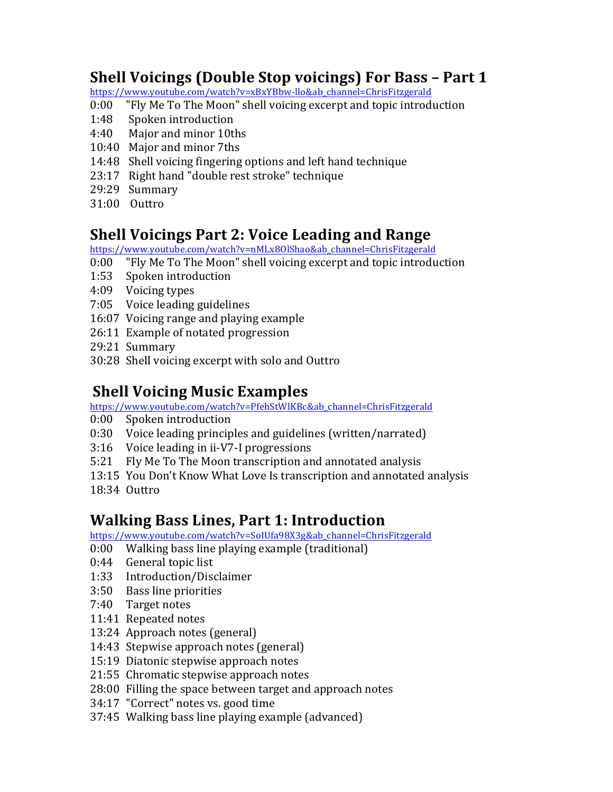# **Shell Voicings (Double Stop voicings) For Bass – Part 1**

https://www.youtube.com/watch?v=xBxYBbw-llo&ab\_channel=ChrisFitzgerald

- 0:00 "Fly Me To The Moon" shell voicing excerpt and topic introduction
- 1:48 Spoken introduction
- 4:40 Major and minor 10ths
- 10:40 Major and minor 7ths
- 14:48 Shell voicing fingering options and left hand technique
- 23:17 Right hand "double rest stroke" technique
- 29:29 Summary
- 31:00 Outtro

#### **Shell Voicings Part 2: Voice Leading and Range**

https://www.youtube.com/watch?v=nMLx8OlShao&ab\_channel=ChrisFitzgerald

- 0:00 "Fly Me To The Moon" shell voicing excerpt and topic introduction
- 1:53 Spoken introduction
- 4:09 Voicing types
- 7:05 Voice leading guidelines
- 16:07 Voicing range and playing example
- 26:11 Example of notated progression
- 29:21 Summary
- 30:28 Shell voicing excerpt with solo and Outtro

### **Shell Voicing Music Examples**

https://www.youtube.com/watch?v=PfehStWlKBc&ab\_channel=ChrisFitzgerald

- 0:00 Spoken introduction
- 0:30 Voice leading principles and guidelines (written/narrated)
- $3:16$  Voice leading in ii-V7-I progressions
- 5:21 Fly Me To The Moon transcription and annotated analysis
- 13:15 You Don't Know What Love Is transcription and annotated analysis
- 18:34 Outtro

#### **Walking Bass Lines, Part 1: Introduction**

https://www.youtube.com/watch?v=SoIUfa98X3g&ab\_channel=ChrisFitzgerald

- 0:00 Walking bass line playing example (traditional)
- 0:44 General topic list
- 1:33 Introduction/Disclaimer
- 3:50 Bass line priorities
- 7:40 Target notes
- 11:41 Repeated notes
- 13:24 Approach notes (general)
- 14:43 Stepwise approach notes (general)
- 15:19 Diatonic stepwise approach notes
- 21:55 Chromatic stepwise approach notes
- 28:00 Filling the space between target and approach notes
- 34:17 "Correct" notes vs. good time
- 37:45 Walking bass line playing example (advanced)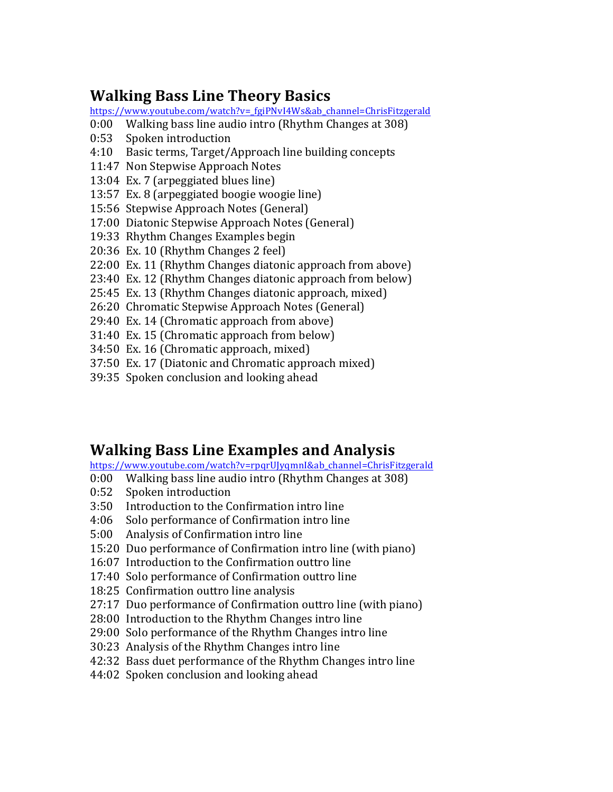# **Walking Bass Line Theory Basics**

https://www.youtube.com/watch?v=\_fgiPNvI4Ws&ab\_channel=ChrisFitzgerald

- 0:00 Walking bass line audio intro (Rhythm Changes at 308)
- 0:53 Spoken introduction
- 4:10 Basic terms, Target/Approach line building concepts
- 11:47 Non Stepwise Approach Notes
- 13:04 Ex. 7 (arpeggiated blues line)
- 13:57 Ex. 8 (arpeggiated boogie woogie line)
- 15:56 Stepwise Approach Notes (General)
- 17:00 Diatonic Stepwise Approach Notes (General)
- 19:33 Rhythm Changes Examples begin
- 20:36 Ex. 10 (Rhythm Changes 2 feel)
- 22:00 Ex. 11 (Rhythm Changes diatonic approach from above)
- 23:40 Ex. 12 (Rhythm Changes diatonic approach from below)
- 25:45 Ex. 13 (Rhythm Changes diatonic approach, mixed)
- 26:20 Chromatic Stepwise Approach Notes (General)
- 29:40 Ex. 14 (Chromatic approach from above)
- 31:40 Ex. 15 (Chromatic approach from below)
- 34:50 Ex. 16 (Chromatic approach, mixed)
- 37:50 Ex. 17 (Diatonic and Chromatic approach mixed)
- 39:35 Spoken conclusion and looking ahead

## **Walking Bass Line Examples and Analysis**

https://www.youtube.com/watch?v=rpqrUJyqmnI&ab\_channel=ChrisFitzgerald

- 0:00 Walking bass line audio intro (Rhythm Changes at 308)
- 0:52 Spoken introduction
- 3:50 Introduction to the Confirmation intro line
- 4:06 Solo performance of Confirmation intro line
- 5:00 Analysis of Confirmation intro line
- 15:20 Duo performance of Confirmation intro line (with piano)
- 16:07 Introduction to the Confirmation outtro line
- 17:40 Solo performance of Confirmation outtro line
- 18:25 Confirmation outtro line analysis
- 27:17 Duo performance of Confirmation outtro line (with piano)
- 28:00 Introduction to the Rhythm Changes intro line
- 29:00 Solo performance of the Rhythm Changes intro line
- 30:23 Analysis of the Rhythm Changes intro line
- 42:32 Bass duet performance of the Rhythm Changes intro line
- 44:02 Spoken conclusion and looking ahead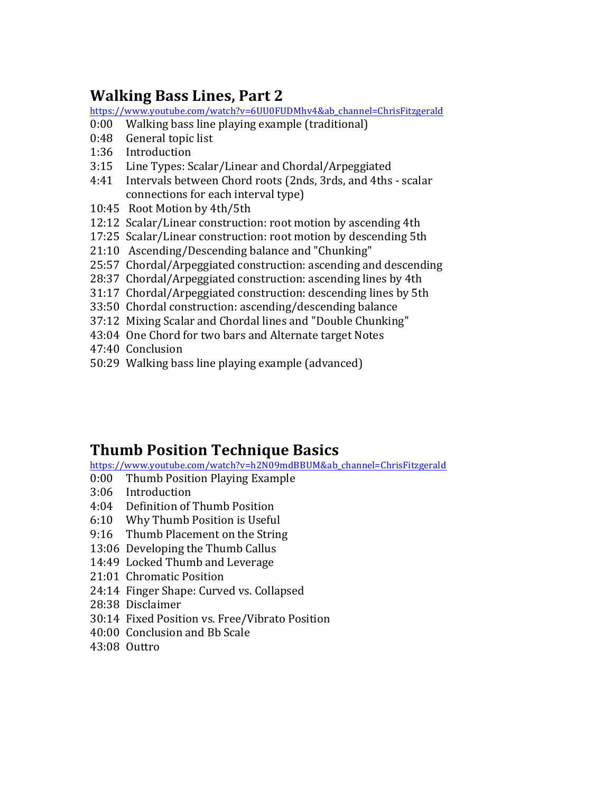# **Walking Bass Lines, Part 2**

https://www.youtube.com/watch?v=6UU0FUDMhv4&ab\_channel=ChrisFitzgerald

- 0:00 Walking bass line playing example (traditional)
- 0:48 General topic list
- 1:36 Introduction
- 3:15 Line Types: Scalar/Linear and Chordal/Arpeggiated
- 4:41 Intervals between Chord roots (2nds, 3rds, and 4ths scalar connections for each interval type)
- 10:45 Root Motion by 4th/5th
- 12:12 Scalar/Linear construction: root motion by ascending 4th
- 17:25 Scalar/Linear construction: root motion by descending 5th
- 21:10 Ascending/Descending balance and "Chunking"
- 25:57 Chordal/Arpeggiated construction: ascending and descending
- 28:37 Chordal/Arpeggiated construction: ascending lines by 4th
- 31:17 Chordal/Arpeggiated construction: descending lines by 5th
- 33:50 Chordal construction: ascending/descending balance
- 37:12 Mixing Scalar and Chordal lines and "Double Chunking"
- 43:04 One Chord for two bars and Alternate target Notes
- 47:40 Conclusion
- 50:29 Walking bass line playing example (advanced)

## **Thumb Position Technique Basics**

https://www.youtube.com/watch?v=h2N09mdBBUM&ab\_channel=ChrisFitzgerald

- 0:00 Thumb Position Playing Example
- 3:06 Introduction
- 4:04 Definition of Thumb Position
- 6:10 Why Thumb Position is Useful
- 9:16 Thumb Placement on the String
- 13:06 Developing the Thumb Callus
- 14:49 Locked Thumb and Leverage
- 21:01 Chromatic Position
- 24:14 Finger Shape: Curved vs. Collapsed
- 28:38 Disclaimer
- 30:14 Fixed Position vs. Free/Vibrato Position
- 40:00 Conclusion and Bb Scale
- 43:08 Outtro